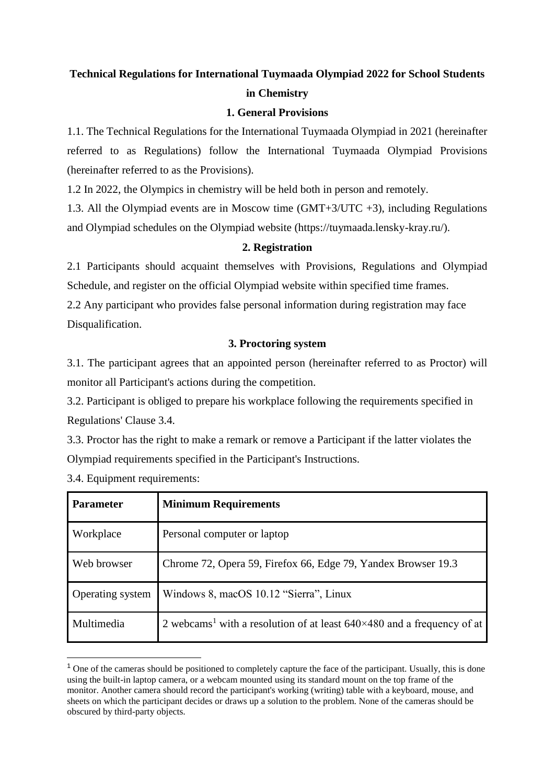# **Technical Regulations for International Tuymaada Olympiad 2022 for School Students in Chemistry**

# **1. General Provisions**

1.1. The Technical Regulations for the International Tuymaada Olympiad in 2021 (hereinafter referred to as Regulations) follow the International Tuymaada Olympiad Provisions (hereinafter referred to as the Provisions).

1.2 In 2022, the Olympics in chemistry will be held both in person and remotely.

1.3. All the Olympiad events are in Moscow time (GMT+3/UTC +3), including Regulations and Olympiad schedules on the Olympiad website (https://tuymaada.lensky-kray.ru/).

## **2. Registration**

2.1 Participants should acquaint themselves with Provisions, Regulations and Olympiad Schedule, and register on the official Olympiad website within specified time frames.

2.2 Any participant who provides false personal information during registration may face Disqualification.

#### **3. Proctoring system**

3.1. The participant agrees that an appointed person (hereinafter referred to as Proctor) will monitor all Participant's actions during the competition.

3.2. Participant is obliged to prepare his workplace following the requirements specified in Regulations' Clause 3.4.

3.3. Proctor has the right to make a remark or remove a Participant if the latter violates the Olympiad requirements specified in the Participant's Instructions.

| <b>Parameter</b>        | <b>Minimum Requirements</b>                                                                 |
|-------------------------|---------------------------------------------------------------------------------------------|
| Workplace               | Personal computer or laptop                                                                 |
| Web browser             | Chrome 72, Opera 59, Firefox 66, Edge 79, Yandex Browser 19.3                               |
| <b>Operating system</b> | Windows 8, macOS 10.12 "Sierra", Linux                                                      |
| Multimedia              | 2 webcams <sup>1</sup> with a resolution of at least $640 \times 480$ and a frequency of at |

3.4. Equipment requirements:

-

<sup>&</sup>lt;sup>1</sup> One of the cameras should be positioned to completely capture the face of the participant. Usually, this is done using the built-in laptop camera, or a webcam mounted using its standard mount on the top frame of the monitor. Another camera should record the participant's working (writing) table with a keyboard, mouse, and sheets on which the participant decides or draws up a solution to the problem. None of the cameras should be obscured by third-party objects.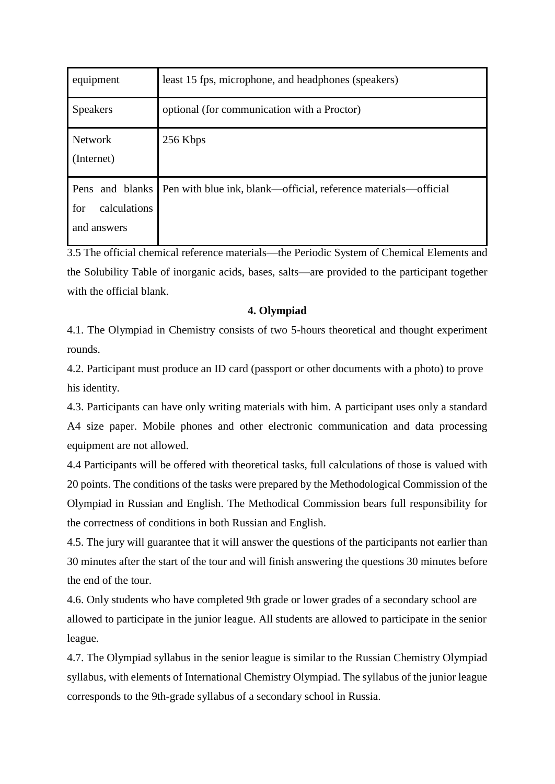| equipment                                             | least 15 fps, microphone, and headphones (speakers)             |
|-------------------------------------------------------|-----------------------------------------------------------------|
| <b>Speakers</b>                                       | optional (for communication with a Proctor)                     |
| <b>Network</b><br>(Internet)                          | 256 Kbps                                                        |
| Pens and blanks<br>calculations<br>for<br>and answers | Pen with blue ink, blank—official, reference materials—official |

3.5 The official chemical reference materials—the Periodic System of Chemical Elements and the Solubility Table of inorganic acids, bases, salts—are provided to the participant together with the official blank.

# **4. Olympiad**

4.1. The Olympiad in Chemistry consists of two 5-hours theoretical and thought experiment rounds.

4.2. Participant must produce an ID card (passport or other documents with a photo) to prove his identity.

4.3. Participants can have only writing materials with him. A participant uses only a standard A4 size paper. Mobile phones and other electronic communication and data processing equipment are not allowed.

4.4 Participants will be offered with theoretical tasks, full calculations of those is valued with 20 points. The conditions of the tasks were prepared by the Methodological Commission of the Olympiad in Russian and English. The Methodical Commission bears full responsibility for the correctness of conditions in both Russian and English.

4.5. The jury will guarantee that it will answer the questions of the participants not earlier than 30 minutes after the start of the tour and will finish answering the questions 30 minutes before the end of the tour.

4.6. Only students who have completed 9th grade or lower grades of a secondary school are allowed to participate in the junior league. All students are allowed to participate in the senior league.

4.7. The Olympiad syllabus in the senior league is similar to the Russian Chemistry Olympiad syllabus, with elements of International Chemistry Olympiad. The syllabus of the junior league corresponds to the 9th-grade syllabus of a secondary school in Russia.